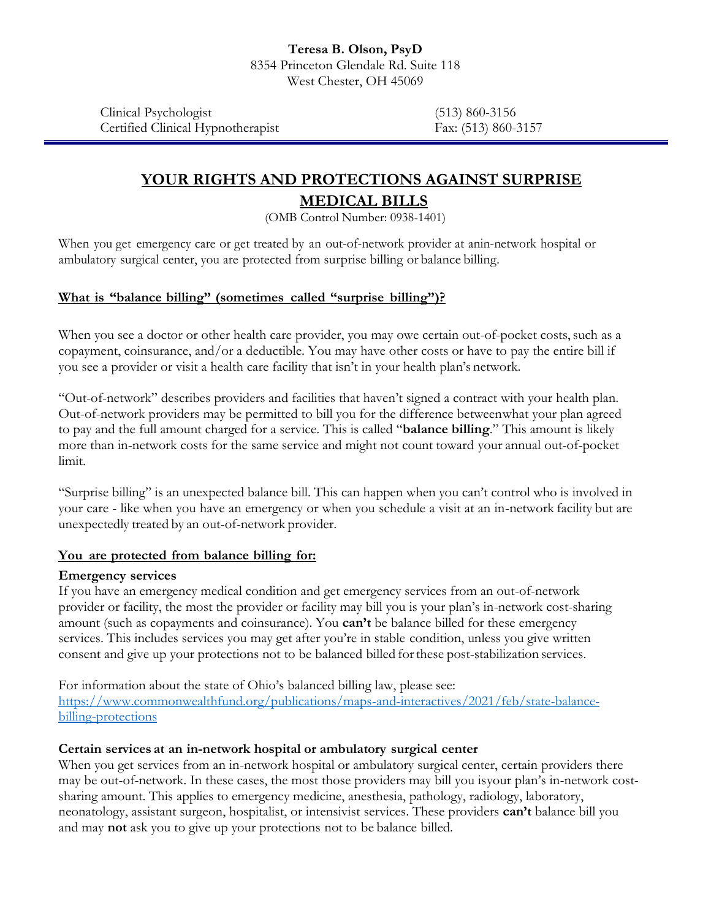Clinical Psychologist (513) 860-3156 Certified Clinical Hypnotherapist Fax: (513) 860-3157

# **YOUR RIGHTS AND PROTECTIONS AGAINST SURPRISE MEDICAL BILLS**

(OMB Control Number: 0938-1401)

When you get emergency care or get treated by an out-of-network provider at anin-network hospital or ambulatory surgical center, you are protected from surprise billing or balance billing.

# **What is "balance billing" (sometimes called "surprise billing")?**

When you see a doctor or other health care provider, you may owe certain out-of-pocket costs, such as a copayment, coinsurance, and/or a deductible. You may have other costs or have to pay the entire bill if you see a provider or visit a health care facility that isn't in your health plan's network.

"Out-of-network" describes providers and facilities that haven't signed a contract with your health plan. Out-of-network providers may be permitted to bill you for the difference betweenwhat your plan agreed to pay and the full amount charged for a service. This is called "**balance billing**." This amount is likely more than in-network costs for the same service and might not count toward your annual out-of-pocket limit.

"Surprise billing" is an unexpected balance bill. This can happen when you can't control who is involved in your care - like when you have an emergency or when you schedule a visit at an in-network facility but are unexpectedly treated by an out-of-network provider.

#### **You are protected from balance billing for:**

#### **Emergency services**

If you have an emergency medical condition and get emergency services from an out-of-network provider or facility, the most the provider or facility may bill you is your plan's in-network cost-sharing amount (such as copayments and coinsurance). You **can't** be balance billed for these emergency services. This includes services you may get after you're in stable condition, unless you give written consent and give up your protections not to be balanced billed forthese post-stabilization services.

For information about the state of Ohio's balanced billing law, please see: [https://www.commonwealthfund.org/publications/maps-and-interactives/2021/feb/state-balance](https://www.commonwealthfund.org/publications/maps-and-interactives/2021/feb/state-balance-billing-protections)[billing-protections](https://www.commonwealthfund.org/publications/maps-and-interactives/2021/feb/state-balance-billing-protections)

#### **Certain services at an in-network hospital or ambulatory surgical center**

When you get services from an in-network hospital or ambulatory surgical center, certain providers there may be out-of-network. In these cases, the most those providers may bill you isyour plan's in-network costsharing amount. This applies to emergency medicine, anesthesia, pathology, radiology, laboratory, neonatology, assistant surgeon, hospitalist, or intensivist services. These providers **can't** balance bill you and may **not** ask you to give up your protections not to be balance billed.